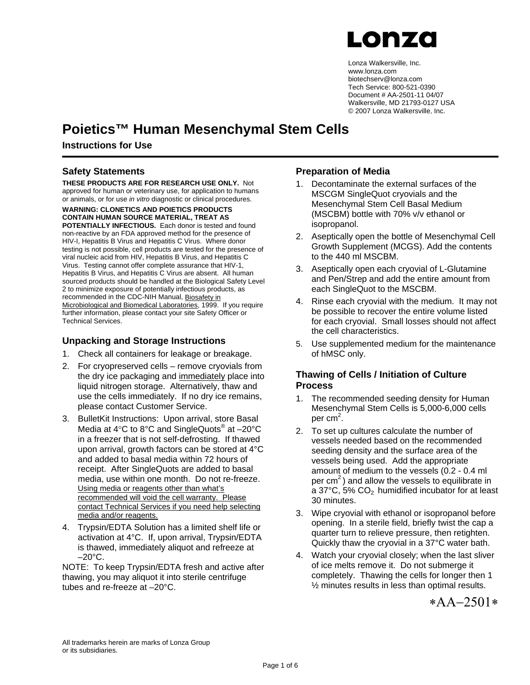

Lonza Walkersville, Inc. www.lonza.com biotechserv@lonza.com Tech Service: 800-521-0390 Document # AA-2501-11 04/07 Walkersville, MD 21793-0127 USA © 2007 Lonza Walkersville, Inc.

### **Poietics™ Human Mesenchymal Stem Cells**

#### **Instructions for Use**

#### **Safety Statements**

**THESE PRODUCTS ARE FOR RESEARCH USE ONLY.** Not approved for human or veterinary use, for application to humans or animals, or for use *in vitro* diagnostic or clinical procedures.

**WARNING: CLONETICS AND POIETICS PRODUCTS CONTAIN HUMAN SOURCE MATERIAL, TREAT AS POTENTIALLY INFECTIOUS.** Each donor is tested and found non-reactive by an FDA approved method for the presence of HIV-I, Hepatitis B Virus and Hepatitis C Virus. Where donor testing is not possible, cell products are tested for the presence of viral nucleic acid from HIV, Hepatitis B Virus, and Hepatitis C Virus. Testing cannot offer complete assurance that HIV-1, Hepatitis B Virus, and Hepatitis C Virus are absent. All human sourced products should be handled at the Biological Safety Level 2 to minimize exposure of potentially infectious products, as recommended in the CDC-NIH Manual, Biosafety in Microbiological and Biomedical Laboratories, 1999. If you require further information, please contact your site Safety Officer or Technical Services.

#### **Unpacking and Storage Instructions**

- 1. Check all containers for leakage or breakage.
- 2. For cryopreserved cells remove cryovials from the dry ice packaging and immediately place into liquid nitrogen storage. Alternatively, thaw and use the cells immediately. If no dry ice remains, please contact Customer Service.
- 3. BulletKit Instructions: Upon arrival, store Basal Media at  $4^{\circ}$ C to  $8^{\circ}$ C and SingleQuots<sup>®</sup> at  $-20^{\circ}$ C in a freezer that is not self-defrosting. If thawed upon arrival, growth factors can be stored at 4°C and added to basal media within 72 hours of receipt. After SingleQuots are added to basal media, use within one month. Do not re-freeze. Using media or reagents other than what's recommended will void the cell warranty. Please contact Technical Services if you need help selecting media and/or reagents.
- 4. Trypsin/EDTA Solution has a limited shelf life or activation at 4°C. If, upon arrival, Trypsin/EDTA is thawed, immediately aliquot and refreeze at  $-20^{\circ}$ C.

NOTE: To keep Trypsin/EDTA fresh and active after thawing, you may aliquot it into sterile centrifuge tubes and re-freeze at –20°C.

#### **Preparation of Media**

- 1. Decontaminate the external surfaces of the MSCGM SingleQuot cryovials and the Mesenchymal Stem Cell Basal Medium (MSCBM) bottle with 70% v/v ethanol or isopropanol.
- 2. Aseptically open the bottle of Mesenchymal Cell Growth Supplement (MCGS). Add the contents to the 440 ml MSCBM.
- 3. Aseptically open each cryovial of L-Glutamine and Pen/Strep and add the entire amount from each SingleQuot to the MSCBM.
- 4. Rinse each cryovial with the medium. It may not be possible to recover the entire volume listed for each cryovial. Small losses should not affect the cell characteristics.
- 5. Use supplemented medium for the maintenance of hMSC only.

#### **Thawing of Cells / Initiation of Culture Process**

- 1. The recommended seeding density for Human Mesenchymal Stem Cells is 5,000-6,000 cells per cm<sup>2</sup>.
- 2. To set up cultures calculate the number of vessels needed based on the recommended seeding density and the surface area of the vessels being used. Add the appropriate amount of medium to the vessels (0.2 - 0.4 ml per  $cm<sup>2</sup>$ ) and allow the vessels to equilibrate in a 37 $\degree$ C, 5% CO<sub>2</sub> humidified incubator for at least 30 minutes.
- 3. Wipe cryovial with ethanol or isopropanol before opening. In a sterile field, briefly twist the cap a quarter turn to relieve pressure, then retighten. Quickly thaw the cryovial in a 37°C water bath.
- 4. Watch your cryovial closely; when the last sliver of ice melts remove it. Do not submerge it completely. Thawing the cells for longer then 1 ½ minutes results in less than optimal results.

∗ΑΑ−2501∗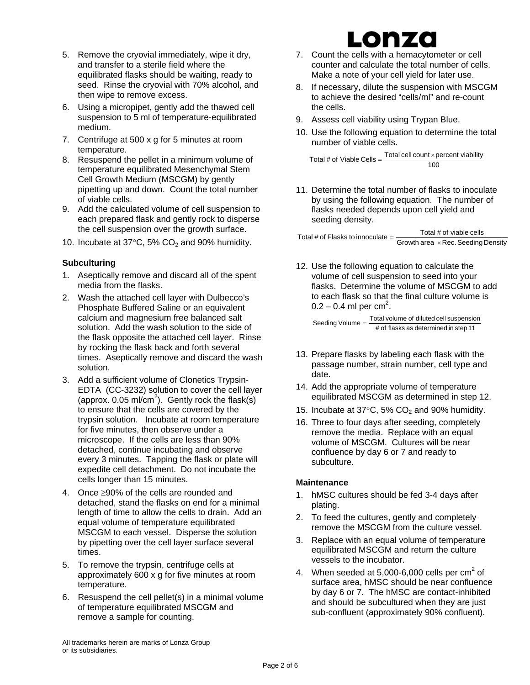- 5. Remove the cryovial immediately, wipe it dry, and transfer to a sterile field where the equilibrated flasks should be waiting, ready to seed. Rinse the cryovial with 70% alcohol, and then wipe to remove excess.
- 6. Using a micropipet, gently add the thawed cell suspension to 5 ml of temperature-equilibrated medium.
- 7. Centrifuge at 500 x g for 5 minutes at room temperature.
- 8. Resuspend the pellet in a minimum volume of temperature equilibrated Mesenchymal Stem Cell Growth Medium (MSCGM) by gently pipetting up and down. Count the total number of viable cells.
- 9. Add the calculated volume of cell suspension to each prepared flask and gently rock to disperse the cell suspension over the growth surface.
- 10. Incubate at  $37^{\circ}$ C, 5% CO<sub>2</sub> and 90% humidity.

#### **Subculturing**

- 1. Aseptically remove and discard all of the spent media from the flasks.
- 2. Wash the attached cell layer with Dulbecco's Phosphate Buffered Saline or an equivalent calcium and magnesium free balanced salt solution. Add the wash solution to the side of the flask opposite the attached cell layer. Rinse by rocking the flask back and forth several times. Aseptically remove and discard the wash solution.
- 3. Add a sufficient volume of Clonetics Trypsin-EDTA (CC-3232) solution to cover the cell layer (approx.  $0.05$  ml/cm<sup>2</sup>). Gently rock the flask(s) to ensure that the cells are covered by the trypsin solution. Incubate at room temperature for five minutes, then observe under a microscope. If the cells are less than 90% detached, continue incubating and observe every 3 minutes. Tapping the flask or plate will expedite cell detachment. Do not incubate the cells longer than 15 minutes.
- 4. Once ≥90% of the cells are rounded and detached, stand the flasks on end for a minimal length of time to allow the cells to drain. Add an equal volume of temperature equilibrated MSCGM to each vessel. Disperse the solution by pipetting over the cell layer surface several times.
- 5. To remove the trypsin, centrifuge cells at approximately 600 x g for five minutes at room temperature.
- 6. Resuspend the cell pellet(s) in a minimal volume of temperature equilibrated MSCGM and remove a sample for counting.

### onzo 7. Count the cells with a hemacytometer or cell

- counter and calculate the total number of cells. Make a note of your cell yield for later use.
- 8. If necessary, dilute the suspension with MSCGM to achieve the desired "cells/ml" and re-count the cells.
- 9. Assess cell viability using Trypan Blue.
- 10. Use the following equation to determine the total number of viable cells.

 $100$ Total # of Viable Cells =  $\frac{\text{Total cell count} \times \text{percent}}{\text{velocity}}$ 

11. Determine the total number of flasks to inoculate by using the following equation. The number of flasks needed depends upon cell yield and seeding density.

 $\text{Total \# of Flasks to innovative} = \frac{\text{Total \# of viable cells}}{\text{Growth area } \times \text{Rec. Secondly Density}}$ 

12. Use the following equation to calculate the volume of cell suspension to seed into your flasks. Determine the volume of MSCGM to add to each flask so that the final culture volume is  $0.2 - 0.4$  ml per cm<sup>2</sup>.

# of flasks as determined in step 11 Seeding Volume = Total volume of diluted cell suspension

- 13. Prepare flasks by labeling each flask with the passage number, strain number, cell type and date.
- 14. Add the appropriate volume of temperature equilibrated MSCGM as determined in step 12.
- 15. Incubate at 37 $\degree$ C, 5% CO<sub>2</sub> and 90% humidity.
- 16. Three to four days after seeding, completely remove the media. Replace with an equal volume of MSCGM. Cultures will be near confluence by day 6 or 7 and ready to subculture.

#### **Maintenance**

- 1. hMSC cultures should be fed 3-4 days after plating.
- 2. To feed the cultures, gently and completely remove the MSCGM from the culture vessel.
- 3. Replace with an equal volume of temperature equilibrated MSCGM and return the culture vessels to the incubator.
- 4. When seeded at 5,000-6,000 cells per cm<sup>2</sup> of surface area, hMSC should be near confluence by day 6 or 7. The hMSC are contact-inhibited and should be subcultured when they are just sub-confluent (approximately 90% confluent).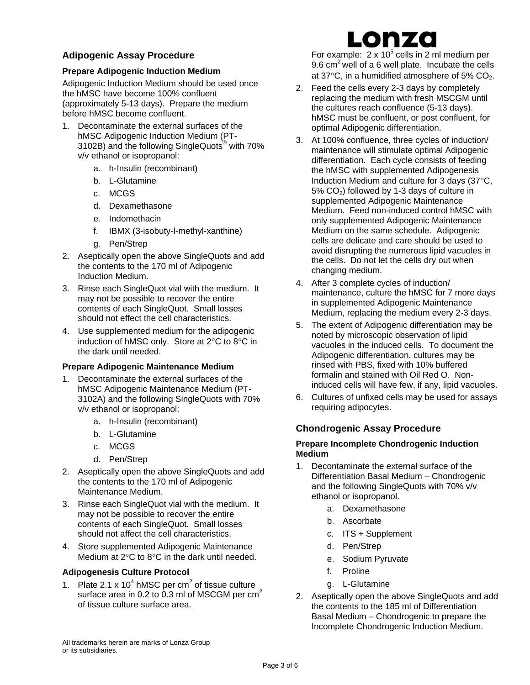#### **Adipogenic Assay Procedure**

#### **Prepare Adipogenic Induction Medium**

Adipogenic Induction Medium should be used once the hMSC have become 100% confluent (approximately 5-13 days). Prepare the medium before hMSC become confluent.

- 1. Decontaminate the external surfaces of the hMSC Adipogenic Induction Medium (PT-3102B) and the following SingleQuots<sup>®</sup> with 70% v/v ethanol or isopropanol:
	- a. h-Insulin (recombinant)
	- b. L-Glutamine
	- c. MCGS
	- d. Dexamethasone
	- e. Indomethacin
	- f. IBMX (3-isobuty-l-methyl-xanthine)
	- g. Pen/Strep
- 2. Aseptically open the above SingleQuots and add the contents to the 170 ml of Adipogenic Induction Medium.
- 3. Rinse each SingleQuot vial with the medium. It may not be possible to recover the entire contents of each SingleQuot. Small losses should not effect the cell characteristics.
- 4. Use supplemented medium for the adipogenic induction of hMSC only. Store at 2°C to 8°C in the dark until needed.

#### **Prepare Adipogenic Maintenance Medium**

- 1. Decontaminate the external surfaces of the hMSC Adipogenic Maintenance Medium (PT-3102A) and the following SingleQuots with 70% v/v ethanol or isopropanol:
	- a. h-Insulin (recombinant)
	- b. L-Glutamine
	- c. MCGS
	- d. Pen/Strep
- 2. Aseptically open the above SingleQuots and add the contents to the 170 ml of Adipogenic Maintenance Medium.
- 3. Rinse each SingleQuot vial with the medium. It may not be possible to recover the entire contents of each SingleQuot. Small losses should not affect the cell characteristics.
- 4. Store supplemented Adipogenic Maintenance Medium at 2°C to 8°C in the dark until needed.

#### **Adipogenesis Culture Protocol**

1. Plate 2.1 x  $10^4$  hMSC per cm<sup>2</sup> of tissue culture surface area in 0.2 to 0.3 ml of MSCGM per cm<sup>2</sup> of tissue culture surface area.

## Lonzo

For example:  $2 \times 10^5$  cells in 2 ml medium per 9.6  $\text{cm}^2$  well of a 6 well plate. Incubate the cells at 37 $\mathrm{^{\circ}C}$ , in a humidified atmosphere of 5% CO<sub>2</sub>.

- 2. Feed the cells every 2-3 days by completely replacing the medium with fresh MSCGM until the cultures reach confluence (5-13 days). hMSC must be confluent, or post confluent, for optimal Adipogenic differentiation.
- 3. At 100% confluence, three cycles of induction/ maintenance will stimulate optimal Adipogenic differentiation. Each cycle consists of feeding the hMSC with supplemented Adipogenesis Induction Medium and culture for 3 days (37°C, 5% CO2) followed by 1-3 days of culture in supplemented Adipogenic Maintenance Medium. Feed non-induced control hMSC with only supplemented Adipogenic Maintenance Medium on the same schedule. Adipogenic cells are delicate and care should be used to avoid disrupting the numerous lipid vacuoles in the cells. Do not let the cells dry out when changing medium.
- 4. After 3 complete cycles of induction/ maintenance, culture the hMSC for 7 more days in supplemented Adipogenic Maintenance Medium, replacing the medium every 2-3 days.
- 5. The extent of Adipogenic differentiation may be noted by microscopic observation of lipid vacuoles in the induced cells. To document the Adipogenic differentiation, cultures may be rinsed with PBS, fixed with 10% buffered formalin and stained with Oil Red O. Noninduced cells will have few, if any, lipid vacuoles.
- 6. Cultures of unfixed cells may be used for assays requiring adipocytes.

#### **Chondrogenic Assay Procedure**

#### **Prepare Incomplete Chondrogenic Induction Medium**

- 1. Decontaminate the external surface of the Differentiation Basal Medium – Chondrogenic and the following SingleQuots with 70% v/v ethanol or isopropanol.
	- a. Dexamethasone
	- b. Ascorbate
	- c. ITS + Supplement
	- d. Pen/Strep
	- e. Sodium Pyruvate
	- f. Proline
	- g. L-Glutamine
- 2. Aseptically open the above SingleQuots and add the contents to the 185 ml of Differentiation Basal Medium – Chondrogenic to prepare the Incomplete Chondrogenic Induction Medium.

All trademarks herein are marks of Lonza Group or its subsidiaries.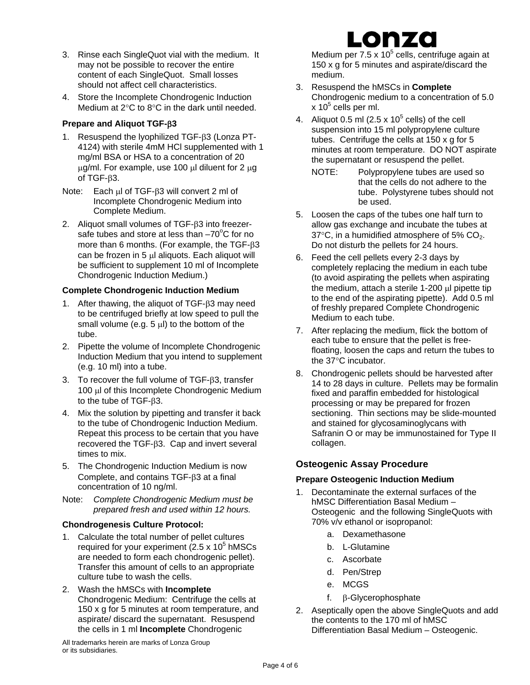- 3. Rinse each SingleQuot vial with the medium. It may not be possible to recover the entire content of each SingleQuot. Small losses should not affect cell characteristics.
- 4. Store the Incomplete Chondrogenic Induction Medium at 2°C to 8°C in the dark until needed.

#### **Prepare and Aliquot TGF-**β**3**

- 1. Resuspend the lyophilized TGF-β3 (Lonza PT-4124) with sterile 4mM HCl supplemented with 1 mg/ml BSA or HSA to a concentration of 20 μg/ml. For example, use 100 μl diluent for  $2 \mu$ g of TGF-β3.
- Note: Each μl of TGF-β3 will convert 2 ml of Incomplete Chondrogenic Medium into Complete Medium.
- 2. Aliquot small volumes of TGF-β3 into freezersafe tubes and store at less than  $-70^{\circ}$ C for no more than 6 months. (For example, the TGF-β3 can be frozen in 5 μl aliquots. Each aliquot will be sufficient to supplement 10 ml of Incomplete Chondrogenic Induction Medium.)

#### **Complete Chondrogenic Induction Medium**

- 1. After thawing, the aliquot of TGF-β3 may need to be centrifuged briefly at low speed to pull the small volume (e.g. 5 μl) to the bottom of the tube.
- 2. Pipette the volume of Incomplete Chondrogenic Induction Medium that you intend to supplement (e.g. 10 ml) into a tube.
- 3. To recover the full volume of TGF-β3, transfer 100 μl of this Incomplete Chondrogenic Medium to the tube of TGF-β3.
- 4. Mix the solution by pipetting and transfer it back to the tube of Chondrogenic Induction Medium. Repeat this process to be certain that you have recovered the TGF-β3. Cap and invert several times to mix.
- 5. The Chondrogenic Induction Medium is now Complete, and contains TGF-β3 at a final concentration of 10 ng/ml.
- Note: *Complete Chondrogenic Medium must be prepared fresh and used within 12 hours.*

#### **Chondrogenesis Culture Protocol:**

- 1. Calculate the total number of pellet cultures required for your experiment  $(2.5 \times 10^5 \text{ hMSCs})$ are needed to form each chondrogenic pellet). Transfer this amount of cells to an appropriate culture tube to wash the cells.
- 2. Wash the hMSCs with **Incomplete** Chondrogenic Medium: Centrifuge the cells at 150 x g for 5 minutes at room temperature, and aspirate/ discard the supernatant. Resuspend the cells in 1 ml **Incomplete** Chondrogenic

All trademarks herein are marks of Lonza Group or its subsidiaries.

## Lonzo

Medium per 7.5 x 10 $5$  cells, centrifuge again at 150 x g for 5 minutes and aspirate/discard the medium.

- 3. Resuspend the hMSCs in **Complete** Chondrogenic medium to a concentration of 5.0  $x$  10<sup>5</sup> cells per ml.
- 4. Aliquot 0.5 ml (2.5 x 10<sup>5</sup> cells) of the cell suspension into 15 ml polypropylene culture tubes. Centrifuge the cells at 150 x g for 5 minutes at room temperature. DO NOT aspirate the supernatant or resuspend the pellet.
	- NOTE: Polypropylene tubes are used so that the cells do not adhere to the tube. Polystyrene tubes should not be used.
- 5. Loosen the caps of the tubes one half turn to allow gas exchange and incubate the tubes at 37 $\degree$ C, in a humidified atmosphere of 5% CO<sub>2</sub>. Do not disturb the pellets for 24 hours.
- 6. Feed the cell pellets every 2-3 days by completely replacing the medium in each tube (to avoid aspirating the pellets when aspirating the medium, attach a sterile 1-200 μl pipette tip to the end of the aspirating pipette). Add 0.5 ml of freshly prepared Complete Chondrogenic Medium to each tube.
- 7. After replacing the medium, flick the bottom of each tube to ensure that the pellet is freefloating, loosen the caps and return the tubes to the 37°C incubator.
- 8. Chondrogenic pellets should be harvested after 14 to 28 days in culture. Pellets may be formalin fixed and paraffin embedded for histological processing or may be prepared for frozen sectioning. Thin sections may be slide-mounted and stained for glycosaminoglycans with Safranin O or may be immunostained for Type II collagen.

#### **Osteogenic Assay Procedure**

#### **Prepare Osteogenic Induction Medium**

- 1. Decontaminate the external surfaces of the hMSC Differentiation Basal Medium – Osteogenic and the following SingleQuots with 70% v/v ethanol or isopropanol:
	- a. Dexamethasone
	- b. L-Glutamine
	- c. Ascorbate
	- d. Pen/Strep
	- e. MCGS
	- f. β-Glycerophosphate
- 2. Aseptically open the above SingleQuots and add the contents to the 170 ml of hMSC Differentiation Basal Medium – Osteogenic.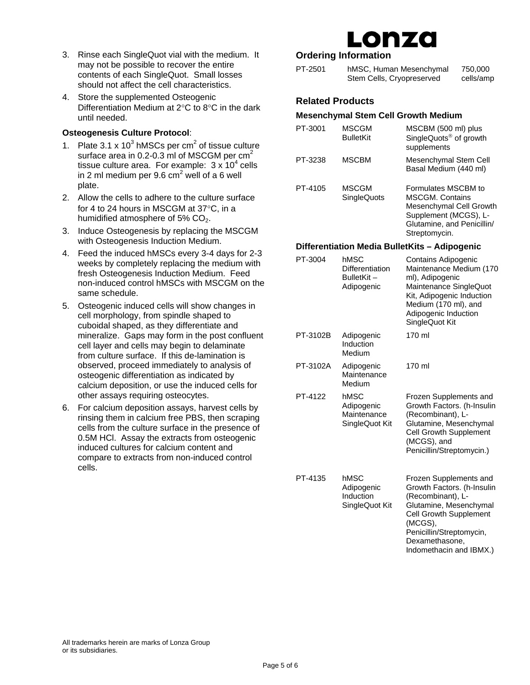- 3. Rinse each SingleQuot vial with the medium. It may not be possible to recover the entire contents of each SingleQuot. Small losses should not affect the cell characteristics.
- 4. Store the supplemented Osteogenic Differentiation Medium at 2°C to 8°C in the dark until needed.

#### **Osteogenesis Culture Protocol**:

- 1. Plate  $3.1 \times 10^3$  hMSCs per cm<sup>2</sup> of tissue culture surface area in 0.2-0.3 ml of MSCGM per  $cm<sup>2</sup>$ tissue culture area. For example:  $3 \times 10^4$  cells in 2 ml medium per 9.6 cm<sup>2</sup> well of a 6 well plate.
- 2. Allow the cells to adhere to the culture surface for 4 to 24 hours in MSCGM at 37°C, in a humidified atmosphere of 5% CO<sub>2</sub>.
- 3. Induce Osteogenesis by replacing the MSCGM with Osteogenesis Induction Medium.
- 4. Feed the induced hMSCs every 3-4 days for 2-3 weeks by completely replacing the medium with fresh Osteogenesis Induction Medium. Feed non-induced control hMSCs with MSCGM on the same schedule.
- 5. Osteogenic induced cells will show changes in cell morphology, from spindle shaped to cuboidal shaped, as they differentiate and mineralize. Gaps may form in the post confluent cell layer and cells may begin to delaminate from culture surface. If this de-lamination is observed, proceed immediately to analysis of osteogenic differentiation as indicated by calcium deposition, or use the induced cells for other assays requiring osteocytes.
- 6. For calcium deposition assays, harvest cells by rinsing them in calcium free PBS, then scraping cells from the culture surface in the presence of 0.5M HCl. Assay the extracts from osteogenic induced cultures for calcium content and compare to extracts from non-induced control cells.

# .onza

#### **Ordering Information**

| PT-2501 | hMSC, Human Mesenchymal   | 750,000   |
|---------|---------------------------|-----------|
|         | Stem Cells, Cryopreserved | cells/amp |

#### **Related Products**

#### **Mesenchymal Stem Cell Growth Medium**

| PT-3001 | <b>MSCGM</b><br><b>BulletKit</b>   | MSCBM (500 ml) plus<br>SingleQuots <sup>®</sup> of growth<br>supplements                                                        |
|---------|------------------------------------|---------------------------------------------------------------------------------------------------------------------------------|
| PT-3238 | MSCBM                              | Mesenchymal Stem Cell<br>Basal Medium (440 ml)                                                                                  |
| PT-4105 | <b>MSCGM</b><br><b>SingleQuots</b> | Formulates MSCBM to<br><b>MSCGM. Contains</b><br>Mesenchymal Cell Growth<br>Supplement (MCGS), L-<br>Glutamine, and Penicillin/ |

#### **Differentiation Media BulletKits – Adipogenic**

Streptomycin.

| PT-3004  | hMSC<br>Differentiation<br>BulletKit-<br>Adipogenic | Contains Adipogenic<br>Maintenance Medium (170<br>ml), Adipogenic<br>Maintenance SingleQuot<br>Kit, Adipogenic Induction<br>Medium (170 ml), and<br>Adipogenic Induction<br>SingleQuot Kit                               |
|----------|-----------------------------------------------------|--------------------------------------------------------------------------------------------------------------------------------------------------------------------------------------------------------------------------|
| PT-3102B | Adipogenic<br>Induction<br>Medium                   | 170 ml                                                                                                                                                                                                                   |
| PT-3102A | Adipogenic<br>Maintenance<br>Medium                 | 170 ml                                                                                                                                                                                                                   |
| PT-4122  | hMSC<br>Adipogenic<br>Maintenance<br>SingleQuot Kit | Frozen Supplements and<br>Growth Factors. (h-Insulin<br>(Recombinant), L-<br>Glutamine, Mesenchymal<br><b>Cell Growth Supplement</b><br>(MCGS), and<br>Penicillin/Streptomycin.)                                         |
| PT-4135  | hMSC<br>Adipogenic<br>Induction<br>SingleQuot Kit   | Frozen Supplements and<br>Growth Factors. (h-Insulin<br>(Recombinant), L-<br>Glutamine, Mesenchymal<br><b>Cell Growth Supplement</b><br>(MCGS),<br>Penicillin/Streptomycin,<br>Dexamethasone,<br>Indomethacin and IBMX.) |